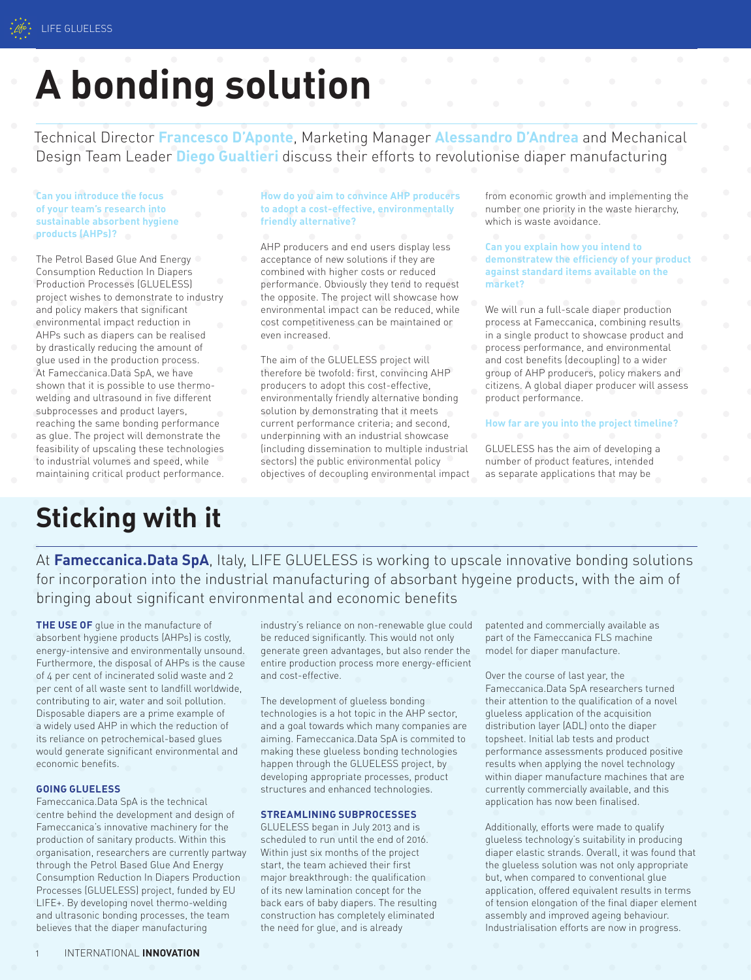# **A bonding solution**

Technical Director **Francesco D'Aponte**, Marketing Manager **Alessandro D'Andrea** and Mechanical Design Team Leader **Diego Gualtieri** discuss their efforts to revolutionise diaper manufacturing

**Can you introduce the focus of your team's research into sustainable absorbent hygiene products (AHPs)?**

The Petrol Based Glue And Energy Consumption Reduction In Diapers Production Processes (GLUELESS) project wishes to demonstrate to industry and policy makers that significant environmental impact reduction in AHPs such as diapers can be realised by drastically reducing the amount of glue used in the production process. At Fameccanica.Data SpA, we have shown that it is possible to use thermowelding and ultrasound in five different subprocesses and product layers, reaching the same bonding performance as glue. The project will demonstrate the feasibility of upscaling these technologies to industrial volumes and speed, while maintaining critical product performance.

# **How do you aim to convince AHP producers to adopt a cost-effective, environmentally friendly alternative?**

AHP producers and end users display less acceptance of new solutions if they are combined with higher costs or reduced performance. Obviously they tend to request the opposite. The project will showcase how environmental impact can be reduced, while cost competitiveness can be maintained or even increased.

The aim of the GLUELESS project will therefore be twofold: first, convincing AHP producers to adopt this cost-effective, environmentally friendly alternative bonding solution by demonstrating that it meets current performance criteria; and second, underpinning with an industrial showcase (including dissemination to multiple industrial sectors) the public environmental policy objectives of decoupling environmental impact from economic growth and implementing the number one priority in the waste hierarchy, which is waste avoidance.

**Can you explain how you intend to demonstratew the efficiency of your product against standard items available on the market?**

We will run a full-scale diaper production process at Fameccanica, combining results in a single product to showcase product and process performance, and environmental and cost benefits (decoupling) to a wider group of AHP producers, policy makers and citizens. A global diaper producer will assess product performance.

**How far are you into the project timeline?** 

GLUELESS has the aim of developing a number of product features, intended as separate applications that may be

# **Sticking with it**

At **Fameccanica.Data SpA**, Italy, LIFE GLUELESS is working to upscale innovative bonding solutions for incorporation into the industrial manufacturing of absorbant hygeine products, with the aim of bringing about significant environmental and economic benefits

**THE USE OF** glue in the manufacture of absorbent hygiene products (AHPs) is costly, energy-intensive and environmentally unsound. Furthermore, the disposal of AHPs is the cause of 4 per cent of incinerated solid waste and 2 per cent of all waste sent to landfill worldwide, contributing to air, water and soil pollution. Disposable diapers are a prime example of a widely used AHP in which the reduction of its reliance on petrochemical-based glues would generate significant environmental and economic benefits.

# **GOING GLUELESS**

Fameccanica.Data SpA is the technical centre behind the development and design of Fameccanica's innovative machinery for the production of sanitary products. Within this organisation, researchers are currently partway through the Petrol Based Glue And Energy Consumption Reduction In Diapers Production Processes (GLUELESS) project, funded by EU LIFE+. By developing novel thermo-welding and ultrasonic bonding processes, the team believes that the diaper manufacturing

industry's reliance on non-renewable glue could be reduced significantly. This would not only generate green advantages, but also render the entire production process more energy-efficient and cost-effective.

The development of glueless bonding technologies is a hot topic in the AHP sector, and a goal towards which many companies are aiming. Fameccanica.Data SpA is commited to making these glueless bonding technologies happen through the GLUELESS project, by developing appropriate processes, product structures and enhanced technologies.

# **STREAMLINING SUBPROCESSES**

GLUELESS began in July 2013 and is scheduled to run until the end of 2016. Within just six months of the project start, the team achieved their first major breakthrough: the qualification of its new lamination concept for the back ears of baby diapers. The resulting construction has completely eliminated the need for glue, and is already

patented and commercially available as part of the Fameccanica FLS machine model for diaper manufacture.

Over the course of last year, the Fameccanica.Data SpA researchers turned their attention to the qualification of a novel glueless application of the acquisition distribution layer (ADL) onto the diaper topsheet. Initial lab tests and product performance assessments produced positive results when applying the novel technology within diaper manufacture machines that are currently commercially available, and this application has now been finalised.

Additionally, efforts were made to qualify glueless technology's suitability in producing diaper elastic strands. Overall, it was found that the glueless solution was not only appropriate but, when compared to conventional glue application, offered equivalent results in terms of tension elongation of the final diaper element assembly and improved ageing behaviour. Industrialisation efforts are now in progress.